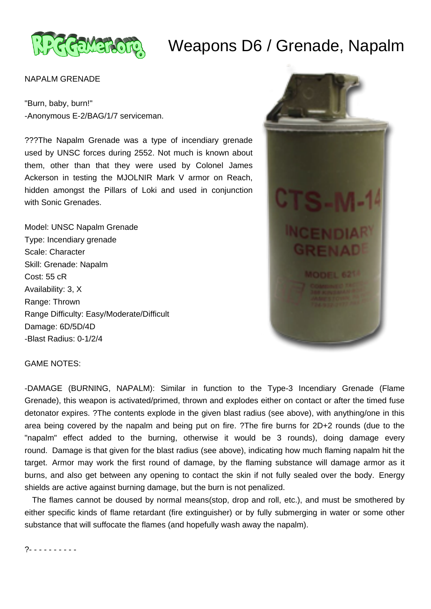

## Weapons D6 / Grenade, Napalm

## NAPALM GRENADE

"Burn, baby, burn!" -Anonymous E-2/BAG/1/7 serviceman.

???The Napalm Grenade was a type of incendiary grenade used by UNSC forces during 2552. Not much is known about them, other than that they were used by Colonel James Ackerson in testing the MJOLNIR Mark V armor on Reach, hidden amongst the Pillars of Loki and used in conjunction with Sonic Grenades.

Model: UNSC Napalm Grenade Type: Incendiary grenade Scale: Character Skill: Grenade: Napalm Cost: 55 cR Availability: 3, X Range: Thrown Range Difficulty: Easy/Moderate/Difficult Damage: 6D/5D/4D -Blast Radius: 0-1/2/4



GAME NOTES:

-DAMAGE (BURNING, NAPALM): Similar in function to the Type-3 Incendiary Grenade (Flame Grenade), this weapon is activated/primed, thrown and explodes either on contact or after the timed fuse detonator expires. ?The contents explode in the given blast radius (see above), with anything/one in this area being covered by the napalm and being put on fire. ?The fire burns for 2D+2 rounds (due to the "napalm" effect added to the burning, otherwise it would be 3 rounds), doing damage every round. Damage is that given for the blast radius (see above), indicating how much flaming napalm hit the target. Armor may work the first round of damage, by the flaming substance will damage armor as it burns, and also get between any opening to contact the skin if not fully sealed over the body. Energy shields are active against burning damage, but the burn is not penalized.

 The flames cannot be doused by normal means(stop, drop and roll, etc.), and must be smothered by either specific kinds of flame retardant (fire extinguisher) or by fully submerging in water or some other substance that will suffocate the flames (and hopefully wash away the napalm).

?- - - - - - - - - -